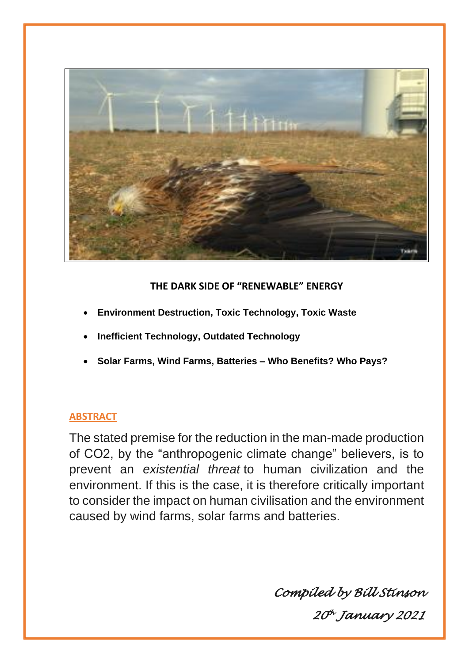

# **THE DARK SIDE OF "RENEWABLE" ENERGY**

- **Environment Destruction, Toxic Technology, Toxic Waste**
- **Inefficient Technology, Outdated Technology**
- **Solar Farms, Wind Farms, Batteries – Who Benefits? Who Pays?**

# **ABSTRACT**

The stated premise for the reduction in the man-made production of CO2, by the "anthropogenic climate change" believers, is to prevent an *existential threat* to human civilization and the environment. If this is the case, it is therefore critically important to consider the impact on human civilisation and the environment caused by wind farms, solar farms and batteries.

*Compiled by Bill Stinson* 

*20 th January 2021*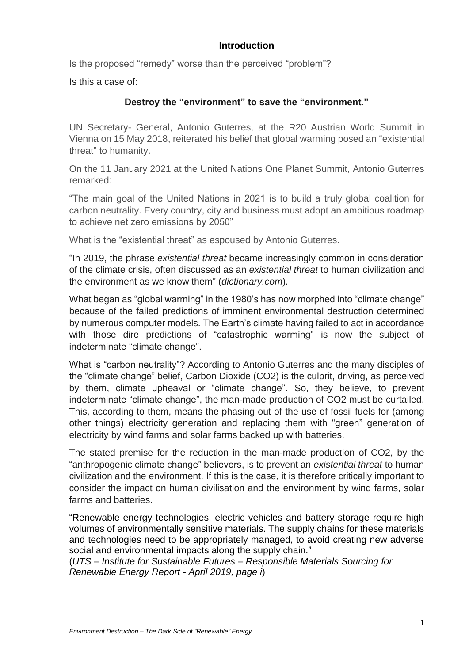# **Introduction**

Is the proposed "remedy" worse than the perceived "problem"?

Is this a case of:

# **Destroy the "environment" to save the "environment."**

UN Secretary- General, Antonio Guterres, at the R20 Austrian World Summit in Vienna on 15 May 2018, reiterated his belief that global warming posed an "existential threat" to humanity.

On the 11 January 2021 at the United Nations One Planet Summit, Antonio Guterres remarked:

"The main goal of the United Nations in 2021 is to build a truly global coalition for carbon neutrality. Every country, city and business must adopt an ambitious roadmap to achieve net zero emissions by 2050"

What is the "existential threat" as espoused by Antonio Guterres.

"In 2019, the phrase *existential threat* became increasingly common in consideration of the climate crisis, often discussed as an *existential threat* to human civilization and the environment as we know them" (*dictionary.com*).

What began as "global warming" in the 1980's has now morphed into "climate change" because of the failed predictions of imminent environmental destruction determined by numerous computer models. The Earth's climate having failed to act in accordance with those dire predictions of "catastrophic warming" is now the subject of indeterminate "climate change".

What is "carbon neutrality"? According to Antonio Guterres and the many disciples of the "climate change" belief, Carbon Dioxide (CO2) is the culprit, driving, as perceived by them, climate upheaval or "climate change". So, they believe, to prevent indeterminate "climate change", the man-made production of CO2 must be curtailed. This, according to them, means the phasing out of the use of fossil fuels for (among other things) electricity generation and replacing them with "green" generation of electricity by wind farms and solar farms backed up with batteries.

The stated premise for the reduction in the man-made production of CO2, by the "anthropogenic climate change" believers, is to prevent an *existential threat* to human civilization and the environment. If this is the case, it is therefore critically important to consider the impact on human civilisation and the environment by wind farms, solar farms and batteries.

"Renewable energy technologies, electric vehicles and battery storage require high volumes of environmentally sensitive materials. The supply chains for these materials and technologies need to be appropriately managed, to avoid creating new adverse social and environmental impacts along the supply chain."

(*UTS – Institute for Sustainable Futures – Responsible Materials Sourcing for Renewable Energy Report - April 2019, page i*)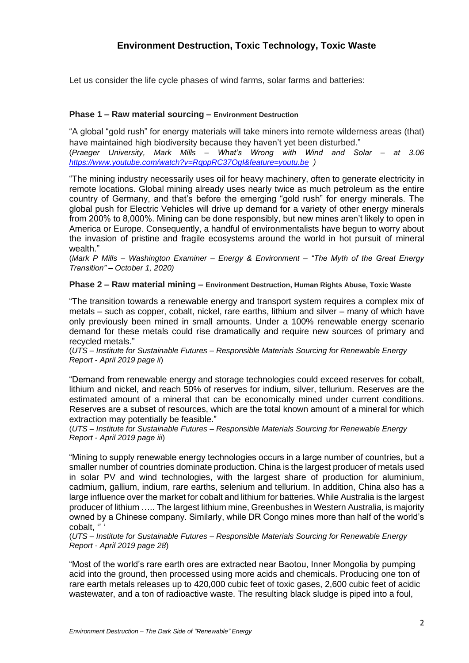Let us consider the life cycle phases of wind farms, solar farms and batteries:

#### **Phase 1 – Raw material sourcing – Environment Destruction**

"A global "gold rush" for energy materials will take miners into remote wilderness areas (that) have maintained high biodiversity because they haven't yet been disturbed." (*Praeger University, Mark Mills – What's Wrong with Wind and Solar – at 3.06 <https://www.youtube.com/watch?v=RqppRC37OgI&feature=youtu.be> )*

"The mining industry necessarily uses oil for heavy machinery, often to generate electricity in remote locations. Global mining already uses nearly twice as much petroleum as the entire country of Germany, and that's before the emerging "gold rush" for energy minerals. The global push for Electric Vehicles will drive up demand for a variety of other energy minerals from 200% to 8,000%. Mining can be done responsibly, but new mines aren't likely to open in America or Europe. Consequently, a handful of environmentalists have begun to worry about the invasion of pristine and fragile ecosystems around the world in hot pursuit of mineral wealth."

(*Mark P Mills – Washington Examiner – Energy & Environment – "The Myth of the Great Energy Transition" – October 1, 2020)*

#### **Phase 2 – Raw material mining – Environment Destruction, Human Rights Abuse, Toxic Waste**

"The transition towards a renewable energy and transport system requires a complex mix of metals – such as copper, cobalt, nickel, rare earths, lithium and silver – many of which have only previously been mined in small amounts. Under a 100% renewable energy scenario demand for these metals could rise dramatically and require new sources of primary and recycled metals."

(*UTS – Institute for Sustainable Futures – Responsible Materials Sourcing for Renewable Energy Report - April 2019 page ii*)

"Demand from renewable energy and storage technologies could exceed reserves for cobalt, lithium and nickel, and reach 50% of reserves for indium, silver, tellurium. Reserves are the estimated amount of a mineral that can be economically mined under current conditions. Reserves are a subset of resources, which are the total known amount of a mineral for which extraction may potentially be feasible."

(*UTS – Institute for Sustainable Futures – Responsible Materials Sourcing for Renewable Energy Report - April 2019 page iii*)

"Mining to supply renewable energy technologies occurs in a large number of countries, but a smaller number of countries dominate production. China is the largest producer of metals used in solar PV and wind technologies, with the largest share of production for aluminium, cadmium, gallium, indium, rare earths, selenium and tellurium. In addition, China also has a large influence over the market for cobalt and lithium for batteries. While Australia is the largest producer of lithium ….. The largest lithium mine, Greenbushes in Western Australia, is majority owned by a Chinese company. Similarly, while DR Congo mines more than half of the world's cobalt, '' '

(*UTS – Institute for Sustainable Futures – Responsible Materials Sourcing for Renewable Energy Report - April 2019 page 28*)

"Most of the world's rare earth ores are extracted near Baotou, Inner Mongolia by pumping acid into the ground, then processed using more acids and chemicals. Producing one ton of rare earth metals releases up to 420,000 cubic feet of toxic gases, 2,600 cubic feet of acidic wastewater, and a ton of radioactive waste. The resulting black sludge is piped into a foul,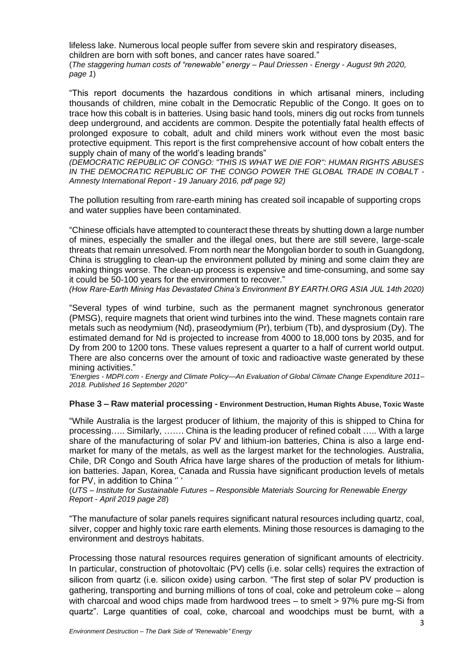lifeless lake. Numerous local people suffer from severe skin and respiratory diseases, children are born with soft bones, and cancer rates have soared." (*The staggering human costs of "renewable" energy – Paul Driessen - Energy - August 9th 2020, page 1*)

"This report documents the hazardous conditions in which artisanal miners, including thousands of children, mine cobalt in the Democratic Republic of the Congo. It goes on to trace how this cobalt is in batteries. Using basic hand tools, miners dig out rocks from tunnels deep underground, and accidents are common. Despite the potentially fatal health effects of prolonged exposure to cobalt, adult and child miners work without even the most basic protective equipment. This report is the first comprehensive account of how cobalt enters the supply chain of many of the world's leading brands"

*(DEMOCRATIC REPUBLIC OF CONGO: "THIS IS WHAT WE DIE FOR": HUMAN RIGHTS ABUSES IN THE DEMOCRATIC REPUBLIC OF THE CONGO POWER THE GLOBAL TRADE IN COBALT - Amnesty International Report - 19 January 2016, pdf page 92)*

The pollution resulting from rare-earth mining has created soil incapable of supporting crops and water supplies have been contaminated.

"Chinese officials have attempted to counteract these threats by shutting down a large number of mines, especially the smaller and the illegal ones, but there are still severe, large-scale threats that remain unresolved. From north near the Mongolian border to south in Guangdong, China is struggling to clean-up the environment polluted by mining and some claim they are making things worse. The clean-up process is expensive and time-consuming, and some say it could be 50-100 years for the environment to recover."

*(How Rare-Earth Mining Has Devastated China's Environment BY EARTH.ORG ASIA JUL 14th 2020)*

"Several types of wind turbine, such as the permanent magnet synchronous generator (PMSG), require magnets that orient wind turbines into the wind. These magnets contain rare metals such as neodymium (Nd), praseodymium (Pr), terbium (Tb), and dysprosium (Dy). The estimated demand for Nd is projected to increase from 4000 to 18,000 tons by 2035, and for Dy from 200 to 1200 tons. These values represent a quarter to a half of current world output. There are also concerns over the amount of toxic and radioactive waste generated by these mining activities."

*"Energies - MDPI.com - Energy and Climate Policy—An Evaluation of Global Climate Change Expenditure 2011– 2018. Published 16 September 2020"* 

#### **Phase 3 – Raw material processing - Environment Destruction, Human Rights Abuse, Toxic Waste**

"While Australia is the largest producer of lithium, the majority of this is shipped to China for processing….. Similarly, ……. China is the leading producer of refined cobalt ….. With a large share of the manufacturing of solar PV and lithium-ion batteries, China is also a large endmarket for many of the metals, as well as the largest market for the technologies. Australia, Chile, DR Congo and South Africa have large shares of the production of metals for lithiumion batteries. Japan, Korea, Canada and Russia have significant production levels of metals for PV, in addition to China " '

(*UTS – Institute for Sustainable Futures – Responsible Materials Sourcing for Renewable Energy Report - April 2019 page 28*)

"The manufacture of solar panels requires significant natural resources including quartz, coal, silver, copper and highly toxic rare earth elements. Mining those resources is damaging to the environment and destroys habitats.

Processing those natural resources requires generation of significant amounts of electricity. In particular, construction of photovoltaic (PV) cells (i.e. solar cells) requires the extraction of silicon from quartz (i.e. silicon oxide) using carbon. "The first step of solar PV production is gathering, transporting and burning millions of tons of coal, coke and petroleum coke – along with charcoal and wood chips made from hardwood trees – to smelt > 97% pure mg-Si from quartz". Large quantities of coal, coke, charcoal and woodchips must be burnt, with a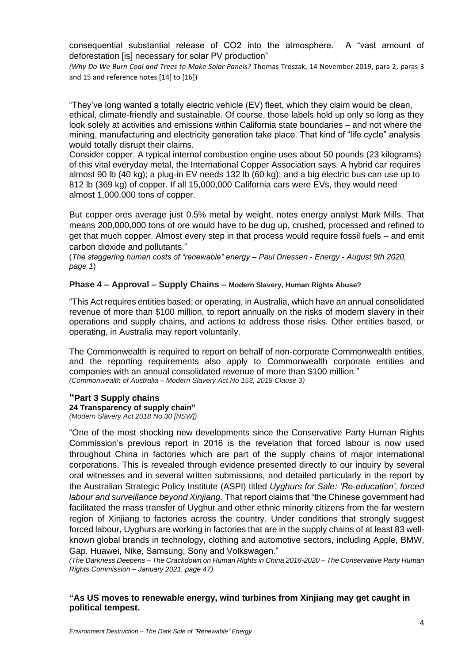consequential substantial release of CO2 into the atmosphere. A "vast amount of deforestation [is] necessary for solar PV production"

*(Why Do We Burn Coal and Trees to Make Solar Panels?* Thomas Troszak, 14 November 2019, para 2, paras 3 and 15 and reference notes [14] to [16])

"They've long wanted a totally electric vehicle (EV) fleet, which they claim would be clean, ethical, climate-friendly and sustainable. Of course, those labels hold up only so long as they look solely at activities and emissions within California state boundaries – and not where the mining, manufacturing and electricity generation take place. That kind of "life cycle" analysis would totally disrupt their claims.

Consider copper. A typical internal combustion engine uses about 50 pounds (23 kilograms) of this vital everyday metal, the International Copper Association says. A hybrid car requires almost 90 lb (40 kg); a plug-in EV needs 132 lb (60 kg); and a big electric bus can use up to 812 lb (369 kg) of copper. If all 15,000,000 California cars were EVs, they would need almost 1,000,000 tons of copper.

But copper ores average just 0.5% metal by weight, notes energy analyst Mark Mills. That means 200,000,000 tons of ore would have to be dug up, crushed, processed and refined to get that much copper. Almost every step in that process would require fossil fuels – and emit carbon dioxide and pollutants."

(*The staggering human costs of "renewable" energy – Paul Driessen - Energy - August 9th 2020, page 1*)

#### **Phase 4 – Approval – Supply Chains – Modern Slavery, Human Rights Abuse?**

"This Act requires entities based, or operating, in Australia, which have an annual consolidated revenue of more than \$100 million, to report annually on the risks of modern slavery in their operations and supply chains, and actions to address those risks. Other entities based, or operating, in Australia may report voluntarily.

The Commonwealth is required to report on behalf of non-corporate Commonwealth entities, and the reporting requirements also apply to Commonwealth corporate entities and companies with an annual consolidated revenue of more than \$100 million." *(Commonwealth of Australia – Modern Slavery Act No 153, 2018 Clause 3)*

#### **"Part 3 Supply chains 24 Transparency of supply chain"** *(Modern Slavery Act 2018 No 30 [NSW])*

"One of the most shocking new developments since the Conservative Party Human Rights Commission's previous report in 2016 is the revelation that forced labour is now used throughout China in factories which are part of the supply chains of major international corporations. This is revealed through evidence presented directly to our inquiry by several oral witnesses and in several written submissions, and detailed particularly in the report by the Australian Strategic Policy Institute (ASPI) titled *Uyghurs for Sale: 'Re-education', forced labour and surveillance beyond Xinjiang.* That report claims that "the Chinese government had facilitated the mass transfer of Uyghur and other ethnic minority citizens from the far western region of Xinjiang to factories across the country. Under conditions that strongly suggest forced labour, Uyghurs are working in factories that are in the supply chains of at least 83 wellknown global brands in technology, clothing and automotive sectors, including Apple, BMW, Gap, Huawei, Nike, Samsung, Sony and Volkswagen."

*(The Darkness Deepens – The Crackdown on Human Rights in China 2016-2020 – The Conservative Party Human Rights Commission – January 2021, page 47)*

**"As US moves to renewable energy, wind turbines from Xinjiang may get caught in political tempest.**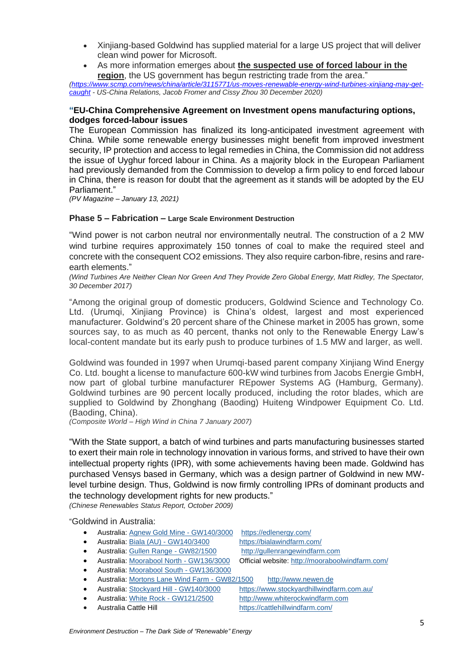- Xinjiang-based Goldwind has supplied material for a large US project that will deliver clean wind power for Microsoft.
- As more information emerges about **the suspected use of forced labour in the region**, the US government has begun restricting trade from the area."

*[\(https://www.scmp.com/news/china/article/3115771/us-moves-renewable-energy-wind-turbines-xinjiang-may-get](https://www.scmp.com/news/china/article/3115771/us-moves-renewable-energy-wind-turbines-xinjiang-may-get-caught)[caught](https://www.scmp.com/news/china/article/3115771/us-moves-renewable-energy-wind-turbines-xinjiang-may-get-caught) - US-China Relations, Jacob Fromer and Cissy Zhou 30 December 2020)*

#### **"EU-China Comprehensive Agreement on Investment opens manufacturing options, dodges forced-labour issues**

The European Commission has finalized its long-anticipated investment agreement with China. While some renewable energy businesses might benefit from improved investment security, IP protection and access to legal remedies in China, the Commission did not address the issue of Uyghur forced labour in China. As a majority block in the European Parliament had previously demanded from the Commission to develop a firm policy to end forced labour in China, there is reason for doubt that the agreement as it stands will be adopted by the EU Parliament."

*(PV Magazine – January 13, 2021)*

#### **Phase 5 – Fabrication – Large Scale Environment Destruction**

"Wind power is not carbon neutral nor environmentally neutral. The construction of a 2 MW wind turbine requires approximately 150 tonnes of coal to make the required steel and concrete with the consequent CO2 emissions. They also require carbon-fibre, resins and rareearth elements."

*(Wind Turbines Are Neither Clean Nor Green And They Provide Zero Global Energy, Matt Ridley, The Spectator, 30 December 2017)*

"Among the original group of domestic producers, Goldwind Science and Technology Co. Ltd. (Urumqi, Xinjiang Province) is China's oldest, largest and most experienced manufacturer. Goldwind's 20 percent share of the Chinese market in 2005 has grown, some sources say, to as much as 40 percent, thanks not only to the Renewable Energy Law's local-content mandate but its early push to produce turbines of 1.5 MW and larger, as well.

Goldwind was founded in 1997 when Urumqi-based parent company Xinjiang Wind Energy Co. Ltd. bought a license to manufacture 600-kW wind turbines from Jacobs Energie GmbH, now part of global turbine manufacturer REpower Systems AG (Hamburg, Germany). Goldwind turbines are 90 percent locally produced, including the rotor blades, which are supplied to Goldwind by Zhonghang (Baoding) Huiteng Windpower Equipment Co. Ltd. (Baoding, China).

*(Composite World – High Wind in China 7 January 2007)*

"With the State support, a batch of wind turbines and parts manufacturing businesses started to exert their main role in technology innovation in various forms, and strived to have their own intellectual property rights (IPR), with some achievements having been made. Goldwind has purchased Vensys based in Germany, which was a design partner of Goldwind in new MWlevel turbine design. Thus, Goldwind is now firmly controlling IPRs of dominant products and the technology development rights for new products."

*(Chinese Renewables Status Report, October 2009)*

"Goldwind in Australia:

- Australia: [Agnew Gold Mine -](https://www.thewindpower.net/windfarm_en_30530_agnew-gold-mine.php) GW140/3000 <https://edlenergy.com/>
- Australia: Biala (AU) [GW140/3400](https://www.thewindpower.net/windfarm_en_32118_biala-(au).php) <https://bialawindfarm.com/>
- Australia: [Gullen Range -](https://www.thewindpower.net/windfarm_en_19094_gullen-range.php) GW82/1500 [http://gullenrangewindfarm.com](http://gullenrangewindfarm.com/)
- Australia: [Moorabool North -](https://www.thewindpower.net/windfarm_en_28275_moorabool-north.php) GW136/3000 Official website: <http://mooraboolwindfarm.com/>
- Australia: [Moorabool South -](https://www.thewindpower.net/windfarm_en_28276_moorabool-south.php) GW136/3000
- Australia: [Mortons Lane Wind Farm -](https://www.thewindpower.net/windfarm_en_4026_mortons-lane-wind-farm.php) GW82/1500 [http://www.newen.de](http://www.newen.de/)
- Australia: [Stockyard Hill -](https://www.thewindpower.net/windfarm_en_30515_stockyard-hill.php) GW140/3000 <https://www.stockyardhillwindfarm.com.au/>
- Australia: White Rock [GW121/2500](https://www.thewindpower.net/windfarm_en_23588_white-rock.php) [http://www.whiterockwindfarm.com](http://www.whiterockwindfarm.com/)
- 
- 
- 
- Australia Cattle Hill <https://cattlehillwindfarm.com/>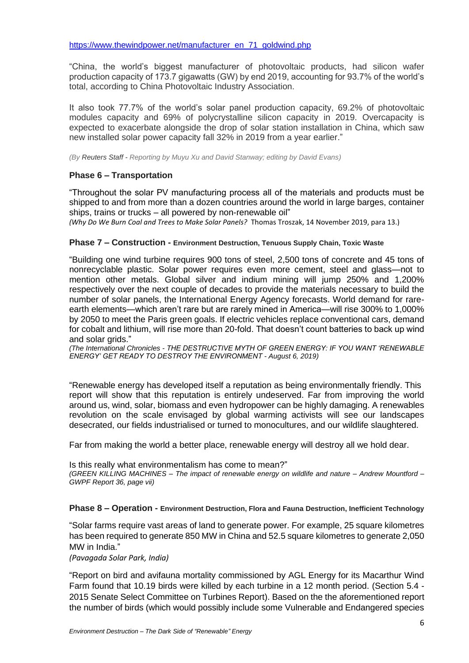"China, the world's biggest manufacturer of photovoltaic products, had silicon wafer production capacity of 173.7 gigawatts (GW) by end 2019, accounting for 93.7% of the world's total, according to China Photovoltaic Industry Association.

It also took 77.7% of the world's solar panel production capacity, 69.2% of photovoltaic modules capacity and 69% of polycrystalline silicon capacity in 2019. Overcapacity is expected to exacerbate alongside the drop of solar station installation in China, which saw new installed solar power capacity fall 32% in 2019 from a year earlier."

*(By Reuters Staff - Reporting by Muyu Xu and David Stanway; editing by David Evans)*

## **Phase 6 – Transportation**

"Throughout the solar PV manufacturing process all of the materials and products must be shipped to and from more than a dozen countries around the world in large barges, container ships, trains or trucks – all powered by non-renewable oil"

*(Why Do We Burn Coal and Trees to Make Solar Panels?* Thomas Troszak, 14 November 2019, para 13.)

#### **Phase 7 – Construction - Environment Destruction, Tenuous Supply Chain, Toxic Waste**

"Building one wind turbine requires 900 tons of steel, 2,500 tons of concrete and 45 tons of nonrecyclable plastic. Solar power requires even more cement, steel and glass—not to mention other metals. Global silver and indium mining will jump 250% and 1,200% respectively over the next couple of decades to provide the materials necessary to build the number of solar panels, the International Energy Agency forecasts. World demand for rareearth elements—which aren't rare but are rarely mined in America—will rise 300% to 1,000% by 2050 to meet the Paris green goals. If electric vehicles replace conventional cars, demand for cobalt and lithium, will rise more than 20-fold. That doesn't count batteries to back up wind and solar grids."

*(The International Chronicles - THE DESTRUCTIVE MYTH OF GREEN ENERGY: IF YOU WANT 'RENEWABLE ENERGY' GET READY TO DESTROY THE ENVIRONMENT - August 6, 2019)*

"Renewable energy has developed itself a reputation as being environmentally friendly. This report will show that this reputation is entirely undeserved. Far from improving the world around us, wind, solar, biomass and even hydropower can be highly damaging. A renewables revolution on the scale envisaged by global warming activists will see our landscapes desecrated, our fields industrialised or turned to monocultures, and our wildlife slaughtered.

Far from making the world a better place, renewable energy will destroy all we hold dear.

Is this really what environmentalism has come to mean?" *(GREEN KILLING MACHINES – The impact of renewable energy on wildlife and nature – Andrew Mountford – GWPF Report 36, page vii)*

#### **Phase 8 – Operation - Environment Destruction, Flora and Fauna Destruction, Inefficient Technology**

"Solar farms require vast areas of land to generate power. For example, 25 square kilometres has been required to generate 850 MW in China and 52.5 square kilometres to generate 2,050 MW in India."

*(Pavagada Solar Park, India)* 

"Report on bird and avifauna mortality commissioned by AGL Energy for its Macarthur Wind Farm found that 10.19 birds were killed by each turbine in a 12 month period. (Section 5.4 - 2015 Senate Select Committee on Turbines Report). Based on the the aforementioned report the number of birds (which would possibly include some Vulnerable and Endangered species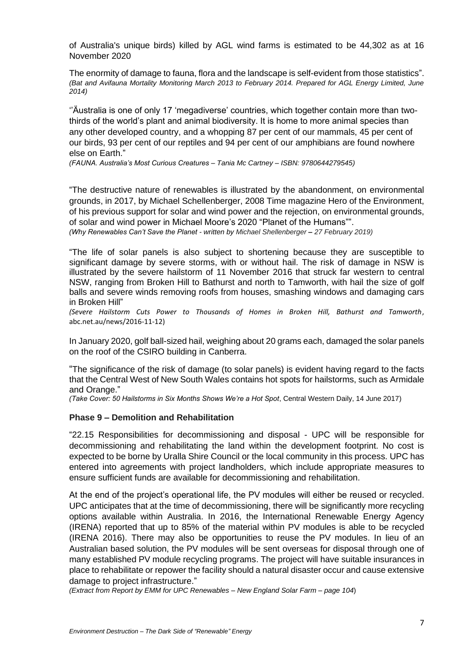of Australia's unique birds) killed by AGL wind farms is estimated to be 44,302 as at 16 November 2020

The enormity of damage to fauna, flora and the landscape is self-evident from those statistics". *(Bat and Avifauna Mortality Monitoring March 2013 to February 2014. Prepared for AGL Energy Limited, June 2014)*

''Äustralia is one of only 17 'megadiverse' countries, which together contain more than twothirds of the world's plant and animal biodiversity. It is home to more animal species than any other developed country, and a whopping 87 per cent of our mammals, 45 per cent of our birds, 93 per cent of our reptiles and 94 per cent of our amphibians are found nowhere else on Earth."

*(FAUNA. Australia's Most Curious Creatures – Tania Mc Cartney – ISBN: 9780644279545)*

"The destructive nature of renewables is illustrated by the abandonment, on environmental grounds, in 2017, by Michael Schellenberger, 2008 Time magazine Hero of the Environment, of his previous support for solar and wind power and the rejection, on environmental grounds, of solar and wind power in Michael Moore's 2020 "Planet of the Humans"".

*(Why Renewables Can't Save the Planet - written by Michael [Shellenberger](https://quillette.com/author/michael-shellenberger/) – 27 February 2019)*

"The life of solar panels is also subject to shortening because they are susceptible to significant damage by severe storms, with or without hail. The risk of damage in NSW is illustrated by the severe hailstorm of 11 November 2016 that struck far western to central NSW, ranging from Broken Hill to Bathurst and north to Tamworth, with hail the size of golf balls and severe winds removing roofs from houses, smashing windows and damaging cars in Broken Hill"

*(Severe Hailstorm Cuts Power to Thousands of Homes in Broken Hill, Bathurst and Tamworth*, abc.net.au/news/2016-11-12)

In January 2020, golf ball-sized hail, weighing about 20 grams each, damaged the solar panels on the roof of the CSIRO building in Canberra.

"The significance of the risk of damage (to solar panels) is evident having regard to the facts that the Central West of New South Wales contains hot spots for hailstorms, such as Armidale and Orange."

*(Take Cover: 50 Hailstorms in Six Months Shows We're a Hot Spot*, Central Western Daily, 14 June 2017)

### **Phase 9 – Demolition and Rehabilitation**

"22.15 Responsibilities for decommissioning and disposal - UPC will be responsible for decommissioning and rehabilitating the land within the development footprint. No cost is expected to be borne by Uralla Shire Council or the local community in this process. UPC has entered into agreements with project landholders, which include appropriate measures to ensure sufficient funds are available for decommissioning and rehabilitation.

At the end of the project's operational life, the PV modules will either be reused or recycled. UPC anticipates that at the time of decommissioning, there will be significantly more recycling options available within Australia. In 2016, the International Renewable Energy Agency (IRENA) reported that up to 85% of the material within PV modules is able to be recycled (IRENA 2016). There may also be opportunities to reuse the PV modules. In lieu of an Australian based solution, the PV modules will be sent overseas for disposal through one of many established PV module recycling programs. The project will have suitable insurances in place to rehabilitate or repower the facility should a natural disaster occur and cause extensive damage to project infrastructure."

*(Extract from Report by EMM for UPC Renewables – New England Solar Farm – page 104*)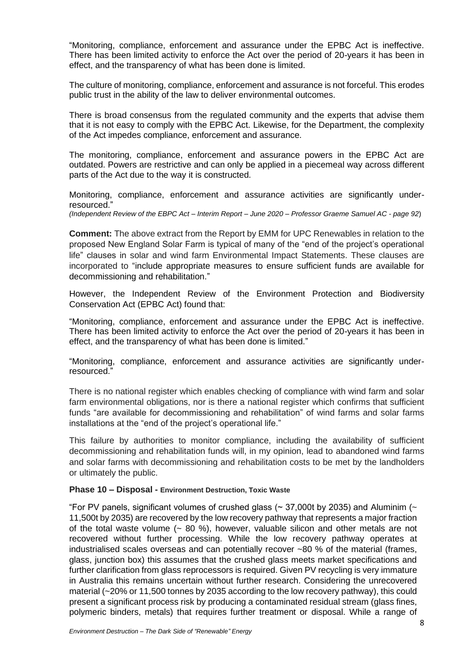"Monitoring, compliance, enforcement and assurance under the EPBC Act is ineffective. There has been limited activity to enforce the Act over the period of 20-years it has been in effect, and the transparency of what has been done is limited.

The culture of monitoring, compliance, enforcement and assurance is not forceful. This erodes public trust in the ability of the law to deliver environmental outcomes.

There is broad consensus from the regulated community and the experts that advise them that it is not easy to comply with the EPBC Act. Likewise, for the Department, the complexity of the Act impedes compliance, enforcement and assurance.

The monitoring, compliance, enforcement and assurance powers in the EPBC Act are outdated. Powers are restrictive and can only be applied in a piecemeal way across different parts of the Act due to the way it is constructed.

Monitoring, compliance, enforcement and assurance activities are significantly underresourced."

*(Independent Review of the EBPC Act – Interim Report – June 2020 – Professor Graeme Samuel AC - page 92*)

**Comment:** The above extract from the Report by EMM for UPC Renewables in relation to the proposed New England Solar Farm is typical of many of the "end of the project's operational life" clauses in solar and wind farm Environmental Impact Statements. These clauses are incorporated to "include appropriate measures to ensure sufficient funds are available for decommissioning and rehabilitation."

However, the Independent Review of the Environment Protection and Biodiversity Conservation Act (EPBC Act) found that:

"Monitoring, compliance, enforcement and assurance under the EPBC Act is ineffective. There has been limited activity to enforce the Act over the period of 20-years it has been in effect, and the transparency of what has been done is limited."

"Monitoring, compliance, enforcement and assurance activities are significantly underresourced."

There is no national register which enables checking of compliance with wind farm and solar farm environmental obligations, nor is there a national register which confirms that sufficient funds "are available for decommissioning and rehabilitation" of wind farms and solar farms installations at the "end of the project's operational life."

This failure by authorities to monitor compliance, including the availability of sufficient decommissioning and rehabilitation funds will, in my opinion, lead to abandoned wind farms and solar farms with decommissioning and rehabilitation costs to be met by the landholders or ultimately the public.

#### **Phase 10 – Disposal - Environment Destruction, Toxic Waste**

"For PV panels, significant volumes of crushed glass ( $\sim$  37,000t by 2035) and Aluminim ( $\sim$ 11,500t by 2035) are recovered by the low recovery pathway that represents a major fraction of the total waste volume  $\sim 80$  %), however, valuable silicon and other metals are not recovered without further processing. While the low recovery pathway operates at industrialised scales overseas and can potentially recover ~80 % of the material (frames, glass, junction box) this assumes that the crushed glass meets market specifications and further clarification from glass reprocessors is required. Given PV recycling is very immature in Australia this remains uncertain without further research. Considering the unrecovered material (~20% or 11,500 tonnes by 2035 according to the low recovery pathway), this could present a significant process risk by producing a contaminated residual stream (glass fines, polymeric binders, metals) that requires further treatment or disposal. While a range of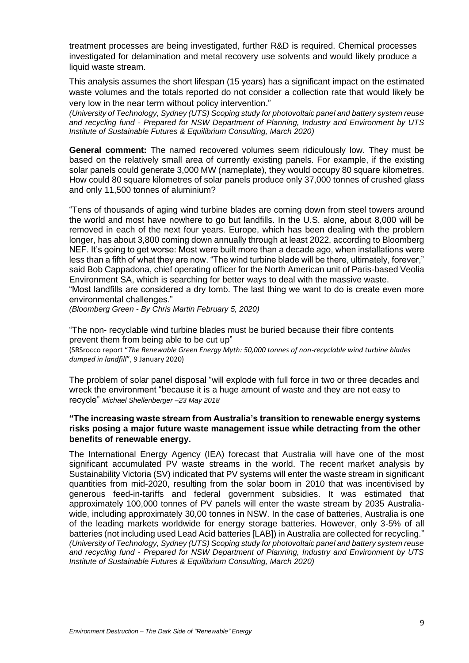treatment processes are being investigated, further R&D is required. Chemical processes investigated for delamination and metal recovery use solvents and would likely produce a liquid waste stream.

This analysis assumes the short lifespan (15 years) has a significant impact on the estimated waste volumes and the totals reported do not consider a collection rate that would likely be very low in the near term without policy intervention."

*(University of Technology, Sydney (UTS) Scoping study for photovoltaic panel and battery system reuse and recycling fund - Prepared for NSW Department of Planning, Industry and Environment by UTS Institute of Sustainable Futures & Equilibrium Consulting, March 2020)*

**General comment:** The named recovered volumes seem ridiculously low. They must be based on the relatively small area of currently existing panels. For example, if the existing solar panels could generate 3,000 MW (nameplate), they would occupy 80 square kilometres. How could 80 square kilometres of solar panels produce only 37,000 tonnes of crushed glass and only 11,500 tonnes of aluminium?

"Tens of thousands of aging wind turbine blades are coming down from steel towers around the world and most have nowhere to go but landfills. In the U.S. alone, about 8,000 will be removed in each of the next four years. Europe, which has been dealing with the problem longer, has about 3,800 coming down annually through at least 2022, according to Bloomberg NEF. It's going to get worse: Most were built more than a decade ago, when installations were less than a fifth of what they are now. "The wind turbine blade will be there, ultimately, forever," said Bob Cappadona, chief operating officer for the North American unit of Paris-based Veolia Environment SA, which is searching for better ways to deal with the massive waste.

"Most landfills are considered a dry tomb. The last thing we want to do is create even more environmental challenges."

*(Bloomberg Green - By Chris Martin February 5, 2020)*

"The non- recyclable wind turbine blades must be buried because their fibre contents prevent them from being able to be cut up"

(SRSrocco report "*The Renewable Green Energy Myth: 50,000 tonnes of non-recyclable wind turbine blades dumped in landfill*", 9 January 2020)

The problem of solar panel disposal "will explode with full force in two or three decades and wreck the environment "because it is a huge amount of waste and they are not easy to recycle" *Michael Shellenberger –23 May 2018*

#### **"The increasing waste stream from Australia's transition to renewable energy systems risks posing a major future waste management issue while detracting from the other benefits of renewable energy.**

The International Energy Agency (IEA) forecast that Australia will have one of the most significant accumulated PV waste streams in the world. The recent market analysis by Sustainability Victoria (SV) indicated that PV systems will enter the waste stream in significant quantities from mid-2020, resulting from the solar boom in 2010 that was incentivised by generous feed-in-tariffs and federal government subsidies. It was estimated that approximately 100,000 tonnes of PV panels will enter the waste stream by 2035 Australiawide, including approximately 30,00 tonnes in NSW. In the case of batteries, Australia is one of the leading markets worldwide for energy storage batteries. However, only 3-5% of all batteries (not including used Lead Acid batteries [LAB]) in Australia are collected for recycling." *(University of Technology, Sydney (UTS) Scoping study for photovoltaic panel and battery system reuse and recycling fund - Prepared for NSW Department of Planning, Industry and Environment by UTS Institute of Sustainable Futures & Equilibrium Consulting, March 2020)*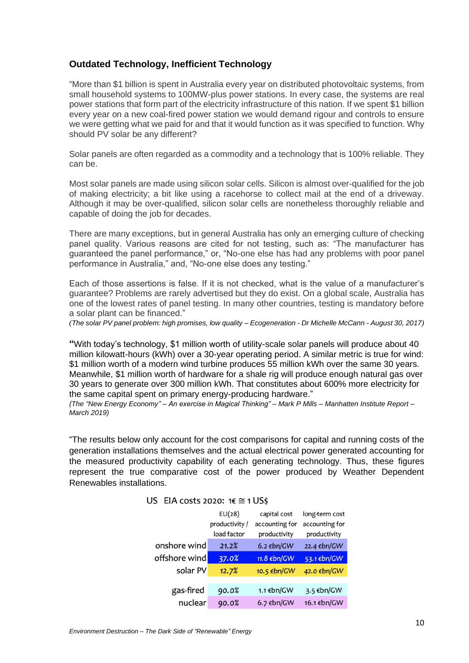# **Outdated Technology, Inefficient Technology**

"More than \$1 billion is spent in Australia every year on distributed photovoltaic systems, from small household systems to 100MW-plus power stations. In every case, the systems are real power stations that form part of the electricity infrastructure of this nation. If we spent \$1 billion every year on a new coal-fired power station we would demand rigour and controls to ensure we were getting what we paid for and that it would function as it was specified to function. Why should PV solar be any different?

Solar panels are often regarded as a commodity and a technology that is 100% reliable. They can be.

Most solar panels are made using silicon solar cells. Silicon is almost over-qualified for the job of making electricity; a bit like using a racehorse to collect mail at the end of a driveway. Although it may be over-qualified, silicon solar cells are nonetheless thoroughly reliable and capable of doing the job for decades.

There are many exceptions, but in general Australia has only an emerging culture of checking panel quality. Various reasons are cited for not testing, such as: "The manufacturer has guaranteed the panel performance," or, "No-one else has had any problems with poor panel performance in Australia," and, "No-one else does any testing."

Each of those assertions is false. If it is not checked, what is the value of a manufacturer's guarantee? Problems are rarely advertised but they do exist. On a global scale, Australia has one of the lowest rates of panel testing. In many other countries, testing is mandatory before a solar plant can be financed."

*(The solar PV panel problem: high promises, low quality – Ecogeneration - Dr Michelle McCann - August 30, 2017)*

**"**With today's technology, \$1 million worth of utility-scale solar panels will produce about 40 million kilowatt-hours (kWh) over a 30-year operating period. A similar metric is true for wind: \$1 million worth of a modern wind turbine produces 55 million kWh over the same 30 years. Meanwhile, \$1 million worth of hardware for a shale rig will produce enough natural gas over 30 years to generate over 300 million kWh. That constitutes about 600% more electricity for the same capital spent on primary energy-producing hardware."

*(The "New Energy Economy" – An exercise in Magical Thinking" – Mark P Mills – Manhatten Institute Report – March 2019)*

"The results below only account for the cost comparisons for capital and running costs of the generation installations themselves and the actual electrical power generated accounting for the measured productivity capability of each generating technology. Thus, these figures represent the true comparative cost of the power produced by Weather Dependent Renewables installations.

#### US EIA costs 2020:  $16 \approx 1$  US\$

|               | EU(28)         | capital cost   | long-term cost |
|---------------|----------------|----------------|----------------|
|               | productivity / | accounting for | accounting for |
|               | load factor    | productivity   | productivity   |
| onshore wind  | 21.2%          | 6.2 € $bn/GW$  | 22.4 €bn/GW    |
| offshore wind | 37.0%          | 11.8 €bn/GW    | 53.1 €bn/GW    |
| solar PV      | 12.7%          | 10.5 €bn/GW    | 42.0 €bn/GW    |
|               |                |                |                |
| gas-fired     | 90.0%          | 1.1 €bn/GW     | 3.5 €bn/GW     |
| nuclear       | 90.0%          | 6.7 $€bn/GW$   | 16.1 €bn/GW    |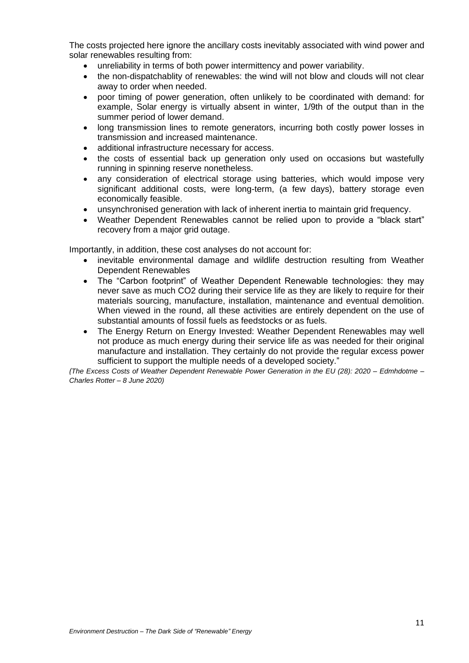The costs projected here ignore the ancillary costs inevitably associated with wind power and solar renewables resulting from:

- unreliability in terms of both power intermittency and power variability.
- the non-dispatchablity of renewables: the wind will not blow and clouds will not clear away to order when needed.
- poor timing of power generation, often unlikely to be coordinated with demand: for example, Solar energy is virtually absent in winter, 1/9th of the output than in the summer period of lower demand.
- long transmission lines to remote generators, incurring both costly power losses in transmission and increased maintenance.
- additional infrastructure necessary for access.
- the costs of essential back up generation only used on occasions but wastefully running in spinning reserve nonetheless.
- any consideration of electrical storage using batteries, which would impose very significant additional costs, were long-term, (a few days), battery storage even economically feasible.
- unsynchronised generation with lack of inherent inertia to maintain grid frequency.
- Weather Dependent Renewables cannot be relied upon to provide a "black start" recovery from a major grid outage.

Importantly, in addition, these cost analyses do not account for:

- inevitable environmental damage and wildlife destruction resulting from Weather Dependent Renewables
- The "Carbon footprint" of Weather Dependent Renewable technologies: they may never save as much CO2 during their service life as they are likely to require for their materials sourcing, manufacture, installation, maintenance and eventual demolition. When viewed in the round, all these activities are entirely dependent on the use of substantial amounts of fossil fuels as feedstocks or as fuels.
- The Energy Return on Energy Invested: Weather Dependent Renewables may well not produce as much energy during their service life as was needed for their original manufacture and installation. They certainly do not provide the regular excess power sufficient to support the multiple needs of a developed society."

*(The Excess Costs of Weather Dependent Renewable Power Generation in the EU (28): 2020 – Edmhdotme – Charles Rotter – 8 June 2020)*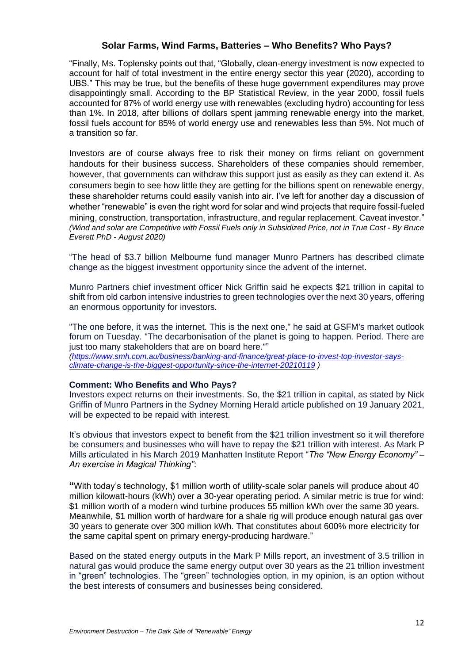## **Solar Farms, Wind Farms, Batteries – Who Benefits? Who Pays?**

"Finally, Ms. Toplensky points out that, "Globally, clean-energy investment is now expected to account for half of total investment in the entire energy sector this year (2020), according to UBS." This may be true, but the benefits of these huge government expenditures may prove disappointingly small. According to the BP Statistical Review, in the year 2000, fossil fuels accounted for 87% of world energy use with renewables (excluding hydro) accounting for less than 1%. In 2018, after billions of dollars spent jamming renewable energy into the market, fossil fuels account for 85% of world energy use and renewables less than 5%. Not much of a transition so far.

Investors are of course always free to risk their money on firms reliant on government handouts for their business success. Shareholders of these companies should remember, however, that governments can withdraw this support just as easily as they can extend it. As consumers begin to see how little they are getting for the billions spent on renewable energy, these shareholder returns could easily vanish into air. I've left for another day a discussion of whether "renewable" is even the right word for solar and wind projects that require fossil-fueled mining, construction, transportation, infrastructure, and regular replacement. Caveat investor." *(Wind and solar are Competitive with Fossil Fuels only in Subsidized Price, not in True Cost - By Bruce Everett PhD - August 2020)*

"The head of \$3.7 billion Melbourne fund manager Munro Partners has described climate change as the biggest investment opportunity since the advent of the internet.

Munro Partners chief investment officer Nick Griffin said he expects \$21 trillion in capital to shift from old carbon intensive industries to green technologies over the next 30 years, offering an enormous opportunity for investors.

"The one before, it was the internet. This is the next one," he said at GSFM's market outlook forum on Tuesday. "The decarbonisation of the planet is going to happen. Period. There are just too many stakeholders that are on board here."" *[\(https://www.smh.com.au/business/banking-and-finance/great-place-to-invest-top-investor-says](https://www.smh.com.au/business/banking-and-finance/great-place-to-invest-top-investor-says-climate-change-is-the-biggest-opportunity-since-the-internet-20210119)[climate-change-is-the-biggest-opportunity-since-the-internet-20210119](https://www.smh.com.au/business/banking-and-finance/great-place-to-invest-top-investor-says-climate-change-is-the-biggest-opportunity-since-the-internet-20210119) )*

#### **Comment: Who Benefits and Who Pays?**

Investors expect returns on their investments. So, the \$21 trillion in capital, as stated by Nick Griffin of Munro Partners in the Sydney Morning Herald article published on 19 January 2021, will be expected to be repaid with interest.

It's obvious that investors expect to benefit from the \$21 trillion investment so it will therefore be consumers and businesses who will have to repay the \$21 trillion with interest. As Mark P Mills articulated in his March 2019 Manhatten Institute Report "*The "New Energy Economy" – An exercise in Magical Thinking"*:

**"**With today's technology, \$1 million worth of utility-scale solar panels will produce about 40 million kilowatt-hours (kWh) over a 30-year operating period. A similar metric is true for wind: \$1 million worth of a modern wind turbine produces 55 million kWh over the same 30 years. Meanwhile, \$1 million worth of hardware for a shale rig will produce enough natural gas over 30 years to generate over 300 million kWh. That constitutes about 600% more electricity for the same capital spent on primary energy-producing hardware."

Based on the stated energy outputs in the Mark P Mills report, an investment of 3.5 trillion in natural gas would produce the same energy output over 30 years as the 21 trillion investment in "green" technologies. The "green" technologies option, in my opinion, is an option without the best interests of consumers and businesses being considered.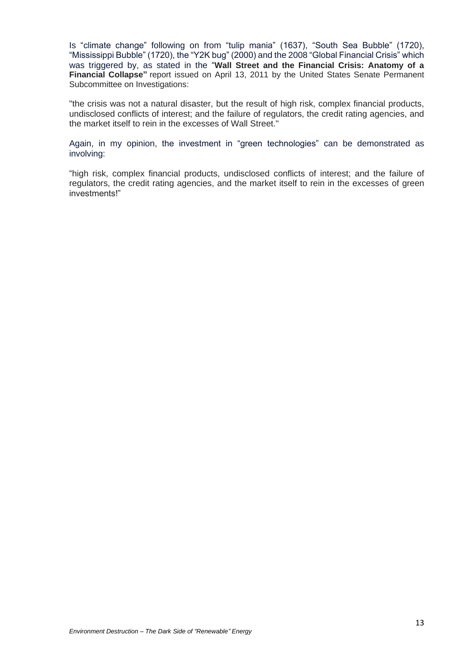Is "climate change" following on from "tulip mania" (1637), "South Sea Bubble" (1720), "Mississippi Bubble" (1720), the "Y2K bug" (2000) and the 2008 "Global Financial Crisis" which was triggered by, as stated in the "**Wall Street and the Financial Crisis: Anatomy of a Financial Collapse"** report issued on April 13, 2011 by the United States Senate Permanent Subcommittee on Investigations:

"the crisis was not a natural disaster, but the result of high risk, complex financial products, undisclosed conflicts of interest; and the failure of regulators, the credit rating agencies, and the market itself to rein in the excesses of Wall Street."

Again, in my opinion, the investment in "green technologies" can be demonstrated as involving:

"high risk, complex financial products, undisclosed conflicts of interest; and the failure of regulators, the credit rating agencies, and the market itself to rein in the excesses of green investments!"